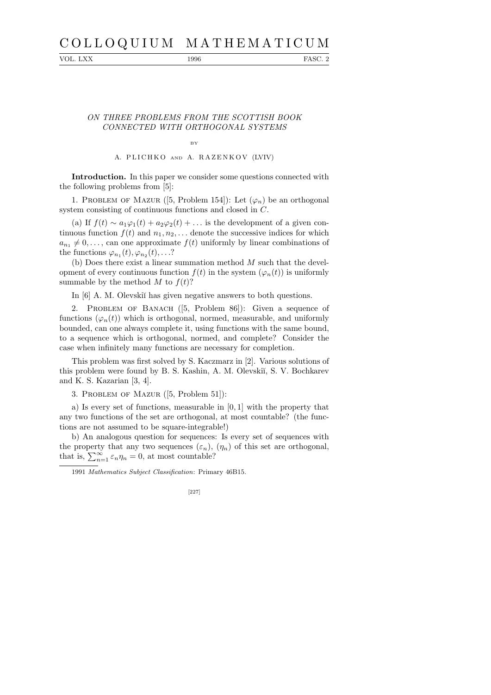# C O L L O Q U I U M M A T H E M A T I C U M

VOL. LXX 1996 FASC. 2

## ON THREE PROBLEMS FROM THE SCOTTISH BOOK CONNECTED WITH ORTHOGONAL SYSTEMS

BY

A. PLICHKO AND A. RAZENKOV (LVIV)

Introduction. In this paper we consider some questions connected with the following problems from [5]:

1. PROBLEM OF MAZUR ([5, Problem 154]): Let  $(\varphi_n)$  be an orthogonal system consisting of continuous functions and closed in C.

(a) If  $f(t) \sim a_1\varphi_1(t) + a_2\varphi_2(t) + \ldots$  is the development of a given continuous function  $f(t)$  and  $n_1, n_2, \ldots$  denote the successive indices for which  $a_{n_1} \neq 0, \ldots$ , can one approximate  $f(t)$  uniformly by linear combinations of the functions  $\varphi_{n_1}(t), \varphi_{n_2}(t), \ldots$ ?

(b) Does there exist a linear summation method  $M$  such that the development of every continuous function  $f(t)$  in the system  $(\varphi_n(t))$  is uniformly summable by the method  $M$  to  $f(t)$ ?

In [6] A. M. Olevskii has given negative answers to both questions.

2. Problem of Banach ([5, Problem 86]): Given a sequence of functions  $(\varphi_n(t))$  which is orthogonal, normed, measurable, and uniformly bounded, can one always complete it, using functions with the same bound, to a sequence which is orthogonal, normed, and complete? Consider the case when infinitely many functions are necessary for completion.

This problem was first solved by S. Kaczmarz in [2]. Various solutions of this problem were found by B. S. Kashin, A. M. Olevskiı̆, S. V. Bochkarev and K. S. Kazarian [3, 4].

3. Problem of Mazur ([5, Problem 51]):

a) Is every set of functions, measurable in [0, 1] with the property that any two functions of the set are orthogonal, at most countable? (the functions are not assumed to be square-integrable!)

b) An analogous question for sequences: Is every set of sequences with the property that any two sequences  $(\varepsilon_n)$ ,  $(\eta_n)$  of this set are orthogonal, that is,  $\sum_{n=1}^{\infty} \varepsilon_n \eta_n = 0$ , at most countable?

<sup>1991</sup> *Mathematics Subject Classification*: Primary 46B15.

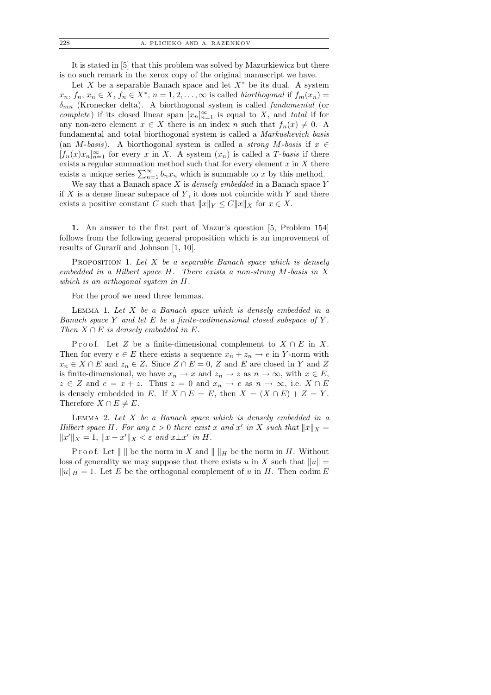It is stated in [5] that this problem was solved by Mazurkiewicz but there is no such remark in the xerox copy of the original manuscript we have.

Let X be a separable Banach space and let  $X^*$  be its dual. A system  $x_n, f_n, x_n \in X, f_n \in X^*, n = 1, 2, \ldots, \infty$  is called *biorthogonal* if  $f_m(x_n) =$  $\delta_{mn}$  (Kronecker delta). A biorthogonal system is called *fundamental* (or complete) if its closed linear span  $[x_n]_{n=1}^{\infty}$  is equal to X, and total if for any non-zero element  $x \in X$  there is an index n such that  $f_n(x) \neq 0$ . A fundamental and total biorthogonal system is called a Markushevich basis (an M-basis). A biorthogonal system is called a *strong M-basis* if  $x \in$  $[f_n(x)x_n]_{n=1}^{\infty}$  for every x in X. A system  $(x_n)$  is called a T-basis if there exists a regular summation method such that for every element  $x$  in  $X$  there exists a unique series  $\sum_{n=1}^{\infty} b_n x_n$  which is summable to x by this method.

We say that a Banach space  $X$  is *densely embedded* in a Banach space  $Y$ if  $X$  is a dense linear subspace of  $Y$ , it does not coincide with  $Y$  and there exists a positive constant C such that  $||x||_Y \leq C||x||_X$  for  $x \in X$ .

1. An answer to the first part of Mazur's question [5, Problem 154] follows from the following general proposition which is an improvement of results of Gurarii and Johnson [1, 10].

PROPOSITION 1. Let  $X$  be a separable Banach space which is densely embedded in a Hilbert space  $H$ . There exists a non-strong  $M$ -basis in  $X$ which is an orthogonal system in H.

For the proof we need three lemmas.

LEMMA 1. Let  $X$  be a Banach space which is densely embedded in a Banach space Y and let E be a finite-codimensional closed subspace of Y. Then  $X \cap E$  is densely embedded in E.

Proof. Let Z be a finite-dimensional complement to  $X \cap E$  in X. Then for every  $e \in E$  there exists a sequence  $x_n + z_n \to e$  in Y-norm with  $x_n \in X \cap E$  and  $z_n \in Z$ . Since  $Z \cap E = 0$ , Z and E are closed in Y and Z is finite-dimensional, we have  $x_n \to x$  and  $z_n \to z$  as  $n \to \infty$ , with  $x \in E$ ,  $z \in Z$  and  $e = x + z$ . Thus  $z = 0$  and  $x_n \to e$  as  $n \to \infty$ , i.e.  $X \cap E$ is densely embedded in E. If  $X \cap E = E$ , then  $X = (X \cap E) + Z = Y$ . Therefore  $X \cap E \neq E$ .

LEMMA 2. Let  $X$  be a Banach space which is densely embedded in a Hilbert space H. For any  $\varepsilon > 0$  there exist x and x' in X such that  $||x||_X =$  $||x'||_X = 1, ||x - x'||_X < \varepsilon$  and  $x \perp x'$  in H.

Proof. Let  $\|\,\|$  be the norm in X and  $\|\,\|_H$  be the norm in H. Without loss of generality we may suppose that there exists u in X such that  $||u|| =$  $||u||_H = 1$ . Let E be the orthogonal complement of u in H. Then codim E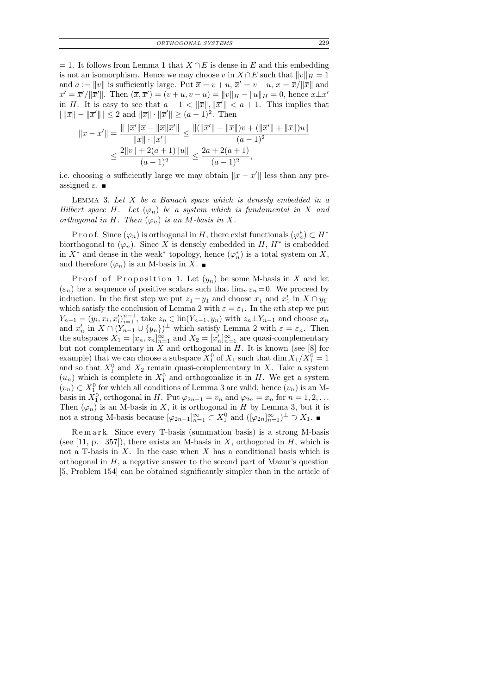$= 1$ . It follows from Lemma 1 that  $X \cap E$  is dense in E and this embedding is not an isomorphism. Hence we may choose v in  $X \cap E$  such that  $||v||_H = 1$ and  $a := ||v||$  is sufficiently large. Put  $\bar{x} = v + u$ ,  $\bar{x}' = v - u$ ,  $x = \bar{x}/||\bar{x}||$  and  $x' = \overline{x}' / ||\overline{x}'||$ . Then  $(\overline{x}, \overline{x}') = (v + u, v - u) = ||v||_H - ||u||_H = 0$ , hence  $x \perp x'$ in H. It is easy to see that  $a - 1 < ||\overline{x}||, ||\overline{x}'|| < a + 1$ . This implies that  $||\|\overline{x}\| - \|\overline{x}'\|| \leq 2$  and  $\|\overline{x}\| \cdot \|\overline{x}'\| \geq (a-1)^2$ . Then

$$
||x - x'|| = \frac{|| ||\overline{x}'|| \overline{x} - ||\overline{x}|| \overline{x}'||}{||x|| \cdot ||x'||} \le \frac{||(||\overline{x}'|| - ||\overline{x}||)v + (||\overline{x}'|| + ||\overline{x}||)u||}{(a - 1)^2}
$$
  

$$
\le \frac{2||v|| + 2(a + 1)||u||}{(a - 1)^2} \le \frac{2a + 2(a + 1)}{(a - 1)^2},
$$

i.e. choosing a sufficiently large we may obtain  $||x - x'||$  less than any preassigned  $\varepsilon$ .

LEMMA 3. Let  $X$  be a Banach space which is densely embedded in a Hilbert space H. Let  $(\varphi_n)$  be a system which is fundamental in X and orthogonal in H. Then  $(\varphi_n)$  is an M-basis in X.

P r o o f. Since  $(\varphi_n)$  is orthogonal in H, there exist functionals  $(\varphi_n^*) \subset H^*$ biorthogonal to  $(\varphi_n)$ . Since X is densely embedded in H,  $H^*$  is embedded in  $X^*$  and dense in the weak<sup>\*</sup> topology, hence  $(\varphi_n^*)$  is a total system on X, and therefore  $(\varphi_n)$  is an M-basis in X.

Proof of Proposition 1. Let  $(y_n)$  be some M-basis in X and let  $(\varepsilon_n)$  be a sequence of positive scalars such that  $\lim_{n \to \infty} \varepsilon_n = 0$ . We proceed by induction. In the first step we put  $z_1 = y_1$  and choose  $x_1$  and  $x'_1$  in  $X \cap y_1^{\perp}$ which satisfy the conclusion of Lemma 2 with  $\varepsilon = \varepsilon_1$ . In the *n*th step we put  $Y_{n-1} = (y_i, x_i, x_i')_{i=1}^{n-1}$ , take  $z_n \in \text{lin}(Y_{n-1}, y_n)$  with  $z_n \perp Y_{n-1}$  and choose  $x_n$ and  $x'_n$  in  $X \cap (Y_{n-1} \cup \{y_n\})^{\perp}$  which satisfy Lemma 2 with  $\varepsilon = \varepsilon_n$ . Then the subspaces  $X_1 = [x_n, z_n]_{n=1}^{\infty}$  and  $X_2 = [x'_n]_{n=1}^{\infty}$  are quasi-complementary but not complementary in  $X$  and orthogonal in  $H$ . It is known (see [8] for example) that we can choose a subspace  $X_1^0$  of  $X_1$  such that  $\dim X_1/X_1^0 = 1$ and so that  $X_1^0$  and  $X_2$  remain quasi-complementary in X. Take a system  $(u_n)$  which is complete in  $X_1^0$  and orthogonalize it in H. We get a system  $(v_n) \subset X_1^0$  for which all conditions of Lemma 3 are valid, hence  $(v_n)$  is an Mbasis in  $X_1^0$ , orthogonal in H. Put  $\varphi_{2n-1} = v_n$  and  $\varphi_{2n} = x_n$  for  $n = 1, 2, ...$ Then  $(\varphi_n)$  is an M-basis in X, it is orthogonal in H by Lemma 3, but it is not a strong M-basis because  $[\varphi_{2n-1}]_{n=1}^{\infty} \subset X_1^0$  and  $([\varphi_{2n}]_{n=1}^{\infty})^{\perp} \supset X_1$ .

R e m a r k. Since every T-basis (summation basis) is a strong M-basis (see [11, p. 357]), there exists an M-basis in X, orthogonal in H, which is not a T-basis in  $X$ . In the case when  $X$  has a conditional basis which is orthogonal in  $H$ , a negative answer to the second part of Mazur's question [5, Problem 154] can be obtained significantly simpler than in the article of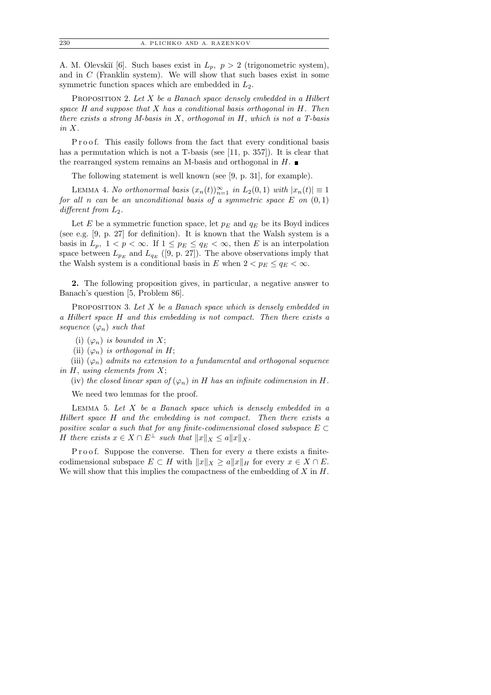A. M. Olevskiĭ [6]. Such bases exist in  $L_p$ ,  $p > 2$  (trigonometric system), and in  $C$  (Franklin system). We will show that such bases exist in some symmetric function spaces which are embedded in  $L_2$ .

PROPOSITION 2. Let  $X$  be a Banach space densely embedded in a Hilbert space  $H$  and suppose that  $X$  has a conditional basis orthogonal in  $H$ . Then there exists a strong M-basis in X, orthogonal in H, which is not a T-basis in X.

P roof. This easily follows from the fact that every conditional basis has a permutation which is not a T-basis (see [11, p. 357]). It is clear that the rearranged system remains an M-basis and orthogonal in  $H$ .

The following statement is well known (see [9, p. 31], for example).

LEMMA 4. No orthonormal basis  $(x_n(t))_{n=1}^{\infty}$  in  $L_2(0,1)$  with  $|x_n(t)| \equiv 1$ for all n can be an unconditional basis of a symmetric space  $E$  on  $(0, 1)$ different from  $L_2$ .

Let E be a symmetric function space, let  $p_E$  and  $q_E$  be its Boyd indices (see e.g. [9, p. 27] for definition). It is known that the Walsh system is a basis in  $L_p$ ,  $1 < p < \infty$ . If  $1 \leq p_E \leq q_E < \infty$ , then E is an interpolation space between  $L_{p_E}$  and  $L_{q_E}$  ([9, p. 27]). The above observations imply that the Walsh system is a conditional basis in E when  $2 < p_E \le q_E < \infty$ .

2. The following proposition gives, in particular, a negative answer to Banach's question [5, Problem 86].

PROPOSITION 3. Let  $X$  be a Banach space which is densely embedded in a Hilbert space H and this embedding is not compact. Then there exists a sequence  $(\varphi_n)$  such that

(i)  $(\varphi_n)$  is bounded in X;

(ii)  $(\varphi_n)$  is orthogonal in H;

(iii)  $(\varphi_n)$  admits no extension to a fundamental and orthogonal sequence in  $H$ , using elements from  $X$ ;

(iv) the closed linear span of  $(\varphi_n)$  in H has an infinite codimension in H.

We need two lemmas for the proof.

LEMMA 5. Let  $X$  be a Banach space which is densely embedded in a Hilbert space H and the embedding is not compact. Then there exists a positive scalar a such that for any finite-codimensional closed subspace  $E \subset$ H there exists  $x \in X \cap E^{\perp}$  such that  $||x||_X \leq a||x||_X$ .

P r o o f. Suppose the converse. Then for every  $a$  there exists a finitecodimensional subspace  $E \subset H$  with  $||x||_X \ge a||x||_H$  for every  $x \in X \cap E$ . We will show that this implies the compactness of the embedding of  $X$  in  $H$ .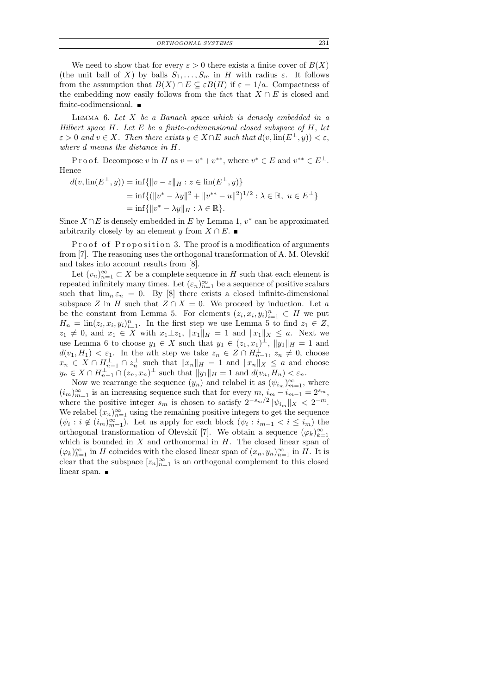| ORTHOGONAL SYSTEMS | 231 |
|--------------------|-----|
|--------------------|-----|

We need to show that for every  $\varepsilon > 0$  there exists a finite cover of  $B(X)$ (the unit ball of X) by balls  $S_1, \ldots, S_m$  in H with radius  $\varepsilon$ . It follows from the assumption that  $B(X) \cap E \subseteq \varepsilon B(H)$  if  $\varepsilon = 1/a$ . Compactness of the embedding now easily follows from the fact that  $X \cap E$  is closed and finite-codimensional.  $\blacksquare$ 

LEMMA 6. Let  $X$  be a Banach space which is densely embedded in a Hilbert space  $H$ . Let  $E$  be a finite-codimensional closed subspace of  $H$ , let  $\varepsilon > 0$  and  $v \in X$ . Then there exists  $y \in X \cap E$  such that  $d(v, \text{lin}(E^{\perp}, y)) < \varepsilon$ , where d means the distance in H.

P r o o f. Decompose v in H as  $v = v^* + v^{**}$ , where  $v^* \in E$  and  $v^{**} \in E^{\perp}$ . Hence

$$
d(v, \text{lin}(E^{\perp}, y)) = \inf \{ ||v - z||_H : z \in \text{lin}(E^{\perp}, y) \}
$$
  
=  $\inf \{ (||v^* - \lambda y||^2 + ||v^{**} - u||^2)^{1/2} : \lambda \in \mathbb{R}, u \in E^{\perp} \}$   
=  $\inf \{ ||v^* - \lambda y||_H : \lambda \in \mathbb{R} \}.$ 

Since  $X \cap E$  is densely embedded in E by Lemma 1,  $v^*$  can be approximated arbitrarily closely by an element y from  $X \cap E$ . ■

Proof of Proposition 3. The proof is a modification of arguments from [7]. The reasoning uses the orthogonal transformation of A. M. Olevskiı̆ and takes into account results from [8].

Let  $(v_n)_{n=1}^{\infty} \subset X$  be a complete sequence in H such that each element is repeated infinitely many times. Let  $(\varepsilon_n)_{n=1}^{\infty}$  be a sequence of positive scalars such that  $\lim_{n \in \mathbb{N}} \epsilon_n = 0$ . By [8] there exists a closed infinite-dimensional subspace Z in H such that  $Z \cap X = 0$ . We proceed by induction. Let a be the constant from Lemma 5. For elements  $(z_i, x_i, y_i)_{i=1}^n \subset H$  we put  $H_n = \text{lin}(z_i, x_i, y_i)_{i=1}^n$ . In the first step we use Lemma 5 to find  $z_1 \in Z$ ,  $z_1 \neq 0$ , and  $x_1 \in X$  with  $x_1 \perp z_1$ ,  $||x_1||_H = 1$  and  $||x_1||_X \leq a$ . Next we use Lemma 6 to choose  $y_1 \in X$  such that  $y_1 \in (z_1, x_1)^\perp$ ,  $||y_1||_H = 1$  and  $d(v_1, H_1) < \varepsilon_1$ . In the *n*th step we take  $z_n \in Z \cap H_{n-1}^{\perp}$ ,  $z_n \neq 0$ , choose  $x_n \in X \cap H_{n-1}^{\perp} \cap z_n^{\perp}$  such that  $||x_n||_H = 1$  and  $||x_n||_X \leq a$  and choose  $y_n \in X \cap H_{n-1}^{\perp} \cap (z_n, x_n)^{\perp}$  such that  $||y_1||_H = 1$  and  $d(v_n, H_n) < \varepsilon_n$ .

Now we rearrange the sequence  $(y_n)$  and relabel it as  $(\psi_{i_m})_{m=1}^{\infty}$ , where  $(i_m)_{m=1}^{\infty}$  is an increasing sequence such that for every  $m$ ,  $i_m - i_{m-1} = 2^{s_m}$ , where the positive integer  $s_m$  is chosen to satisfy  $2^{-s_m/2} \|\psi_{i_m}\|_X < 2^{-m}$ . We relabel  $(x_n)_{n=1}^{\infty}$  using the remaining positive integers to get the sequence  $(\psi_i : i \notin (i_m)_{m=1}^{\infty})$ . Let us apply for each block  $(\psi_i : i_{m-1} < i \leq i_m)$  the orthogonal transformation of Olevskiı̆<sup>[7]</sup>. We obtain a sequence  $(\varphi_k)_{k=1}^{\infty}$ which is bounded in  $X$  and orthonormal in  $H$ . The closed linear span of  $(\varphi_k)_{k=1}^{\infty}$  in H coincides with the closed linear span of  $(x_n, y_n)_{n=1}^{\infty}$  in H. It is clear that the subspace  $[z_n]_{n=1}^{\infty}$  is an orthogonal complement to this closed linear span.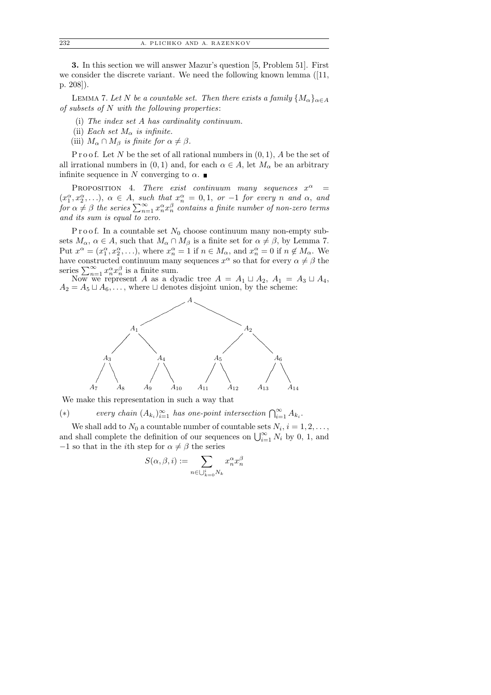3. In this section we will answer Mazur's question [5, Problem 51]. First we consider the discrete variant. We need the following known lemma ([11, p. 208]).

LEMMA 7. Let N be a countable set. Then there exists a family  $\{M_{\alpha}\}_{{\alpha}\in A}$ of subsets of  $N$  with the following properties:

- (i) The index set A has cardinality continuum.
- (ii) Each set  $M_{\alpha}$  is infinite.
- (iii)  $M_{\alpha} \cap M_{\beta}$  is finite for  $\alpha \neq \beta$ .

P r o o f. Let N be the set of all rational numbers in  $(0, 1)$ , A be the set of all irrational numbers in  $(0, 1)$  and, for each  $\alpha \in A$ , let  $M_{\alpha}$  be an arbitrary infinite sequence in N converging to  $\alpha$ .

PROPOSITION 4. There exist continuum many sequences  $x^{\alpha}$  $\overline{a}$  =  $(x_1^{\alpha}, x_2^{\alpha}, \ldots), \alpha \in A$ , such that  $x_n^{\alpha} = 0, 1, \text{ or } -1$  for every n and  $\alpha$ , and for  $\alpha \neq \beta$  the series  $\sum_{n=1}^{\infty} x_n^{\alpha} x_n^{\beta}$  contains a finite number of non-zero terms and its sum is equal to zero.

P r o o f. In a countable set  $N_0$  choose continuum many non-empty subsets  $M_{\alpha}$ ,  $\alpha \in A$ , such that  $M_{\alpha} \cap M_{\beta}$  is a finite set for  $\alpha \neq \beta$ , by Lemma 7. Put  $x^{\alpha} = (x_1^{\alpha}, x_2^{\alpha}, \ldots)$ , where  $x_n^{\alpha} = 1$  if  $n \in M_{\alpha}$ , and  $x_n^{\alpha} = 0$  if  $n \notin M_{\alpha}$ . We have constructed continuum many sequences  $x^{\alpha}$  so that for every  $\alpha \neq \beta$  the series  $\sum_{n=1}^{\infty} x_n^{\alpha} x_n^{\beta}$  is a finite sum.

Now we represent A as a dyadic tree  $A = A_1 \sqcup A_2$ ,  $A_1 = A_3 \sqcup A_4$ ,  $A_2 = A_5 \sqcup A_6, \ldots$ , where  $\sqcup$  denotes disjoint union, by the scheme:



We make this representation in such a way that

(\*) every chain  $(A_{k_i})_{i=1}^{\infty}$  has one-point intersection  $\bigcap_{i=1}^{\infty} A_{k_i}$ .

We shall add to  $N_0$  a countable number of countable sets  $N_i$ ,  $i = 1, 2, \ldots$ , and shall complete the definition of our sequences on  $\bigcup_{i=1}^{\infty} N_i$  by 0, 1, and  $-1$  so that in the *i*th step for  $\alpha \neq \beta$  the series

$$
S(\alpha, \beta, i) := \sum_{n \in \bigcup_{k=0}^{i} N_k} x_n^{\alpha} x_n^{\beta}
$$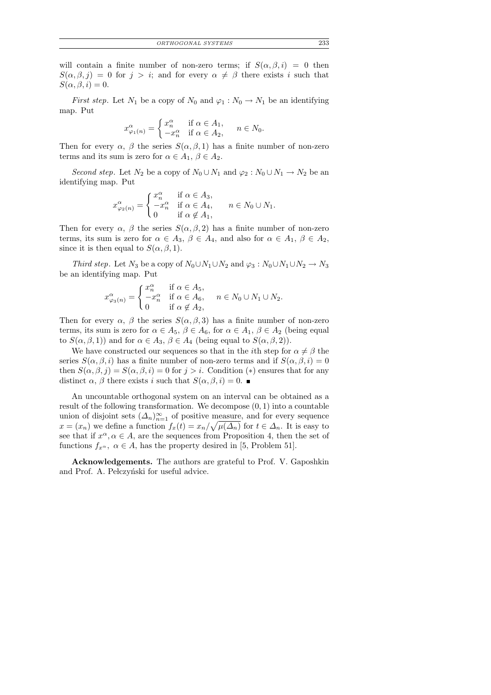will contain a finite number of non-zero terms; if  $S(\alpha, \beta, i) = 0$  then  $S(\alpha, \beta, j) = 0$  for  $j > i$ ; and for every  $\alpha \neq \beta$  there exists i such that  $S(\alpha, \beta, i) = 0.$ 

*First step.* Let  $N_1$  be a copy of  $N_0$  and  $\varphi_1 : N_0 \to N_1$  be an identifying map. Put

$$
x^{\alpha}_{\varphi_1(n)} = \begin{cases} x^{\alpha}_n & \text{if } \alpha \in A_1, \\ -x^{\alpha}_n & \text{if } \alpha \in A_2, \end{cases} \quad n \in N_0.
$$

Then for every  $\alpha$ ,  $\beta$  the series  $S(\alpha, \beta, 1)$  has a finite number of non-zero terms and its sum is zero for  $\alpha \in A_1$ ,  $\beta \in A_2$ .

Second step. Let  $N_2$  be a copy of  $N_0 \cup N_1$  and  $\varphi_2 : N_0 \cup N_1 \to N_2$  be an identifying map. Put

$$
x^{\alpha}_{\varphi_2(n)} = \begin{cases} x^{\alpha}_n & \text{if } \alpha \in A_3, \\ -x^{\alpha}_n & \text{if } \alpha \in A_4, \\ 0 & \text{if } \alpha \notin A_1, \end{cases} \quad n \in N_0 \cup N_1.
$$

Then for every  $\alpha$ ,  $\beta$  the series  $S(\alpha, \beta, 2)$  has a finite number of non-zero terms, its sum is zero for  $\alpha \in A_3$ ,  $\beta \in A_4$ , and also for  $\alpha \in A_1$ ,  $\beta \in A_2$ , since it is then equal to  $S(\alpha, \beta, 1)$ .

Third step. Let N<sub>3</sub> be a copy of  $N_0\cup N_1\cup N_2$  and  $\varphi_3:N_0\cup N_1\cup N_2\to N_3$ be an identifying map. Put

$$
x^{\alpha}_{\varphi_3(n)} = \begin{cases} x^{\alpha}_n & \text{if } \alpha \in A_5, \\ -x^{\alpha}_n & \text{if } \alpha \in A_6, \\ 0 & \text{if } \alpha \notin A_2, \end{cases} \quad n \in N_0 \cup N_1 \cup N_2.
$$

Then for every  $\alpha$ ,  $\beta$  the series  $S(\alpha, \beta, 3)$  has a finite number of non-zero terms, its sum is zero for  $\alpha \in A_5$ ,  $\beta \in A_6$ , for  $\alpha \in A_1$ ,  $\beta \in A_2$  (being equal to  $S(\alpha, \beta, 1)$  and for  $\alpha \in A_3$ ,  $\beta \in A_4$  (being equal to  $S(\alpha, \beta, 2)$ ).

We have constructed our sequences so that in the *i*th step for  $\alpha \neq \beta$  the series  $S(\alpha, \beta, i)$  has a finite number of non-zero terms and if  $S(\alpha, \beta, i) = 0$ then  $S(\alpha, \beta, j) = S(\alpha, \beta, i) = 0$  for  $j > i$ . Condition (\*) ensures that for any distinct  $\alpha$ ,  $\beta$  there exists i such that  $S(\alpha, \beta, i) = 0$ .

An uncountable orthogonal system on an interval can be obtained as a result of the following transformation. We decompose  $(0, 1)$  into a countable union of disjoint sets  $(\Delta_n)_{n=1}^{\infty}$  of positive measure, and for every sequence  $x = (x_n)$  we define a function  $f_x(t) = x_n / \sqrt{\mu(\Delta_n)}$  for  $t \in \Delta_n$ . It is easy to see that if  $x^{\alpha}, \alpha \in A$ , are the sequences from Proposition 4, then the set of functions  $f_{x^{\alpha}}$ ,  $\alpha \in A$ , has the property desired in [5, Problem 51].

Acknowledgements. The authors are grateful to Prof. V. Gaposhkin and Prof. A. Pełczyński for useful advice.